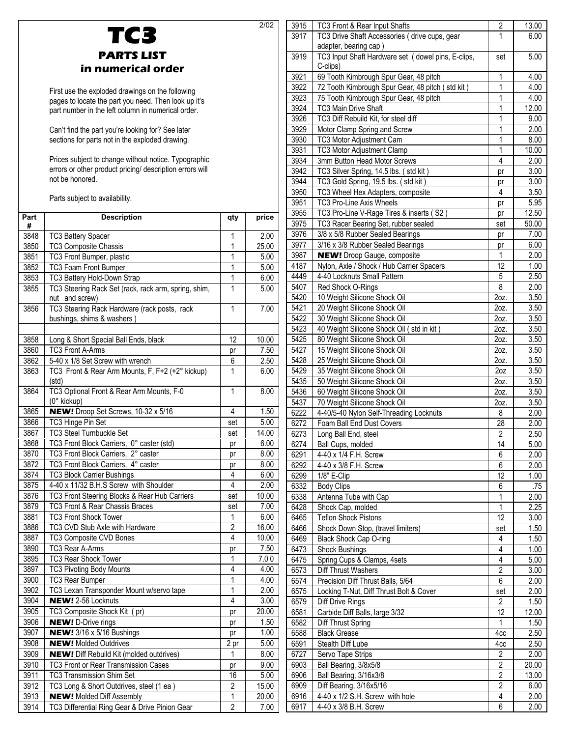|              | TC3                                                                                                      |                         | 2/02          |
|--------------|----------------------------------------------------------------------------------------------------------|-------------------------|---------------|
|              |                                                                                                          |                         |               |
|              | <b>PARTS LIST</b>                                                                                        |                         |               |
|              | in numerical order                                                                                       |                         |               |
|              |                                                                                                          |                         |               |
|              | First use the exploded drawings on the following<br>pages to locate the part you need. Then look up it's |                         |               |
|              | part number in the left column in numerical order.                                                       |                         |               |
|              |                                                                                                          |                         |               |
|              | Can't find the part you're looking for? See later                                                        |                         |               |
|              | sections for parts not in the exploded drawing.                                                          |                         |               |
|              | Prices subject to change without notice. Typographic                                                     |                         |               |
|              | errors or other product pricing/ description errors will                                                 |                         |               |
|              | not be honored.                                                                                          |                         |               |
|              | Parts subject to availability.                                                                           |                         |               |
|              |                                                                                                          |                         |               |
| Part<br>#    | <b>Description</b>                                                                                       | qty                     | price         |
| 3848         | <b>TC3 Battery Spacer</b>                                                                                | 1                       | 2.00          |
| 3850         | TC3 Composite Chassis                                                                                    | 1                       | 25.00         |
| 3851         | TC3 Front Bumper, plastic                                                                                | 1                       | 5.00          |
| 3852<br>3853 | TC3 Foam Front Bumper                                                                                    | 1<br>1                  | 5.00          |
| 3855         | TC3 Battery Hold-Down Strap<br>TC3 Steering Rack Set (rack, rack arm, spring, shim,                      | 1                       | 6.00<br>5.00  |
|              | nut and screw)                                                                                           |                         |               |
| 3856         | TC3 Steering Rack Hardware (rack posts, rack                                                             | $\mathbf{1}$            | 7.00          |
|              | bushings, shims & washers)                                                                               |                         |               |
| 3858         |                                                                                                          | 12                      |               |
| 3860         | Long & Short Special Ball Ends, black<br><b>TC3 Front A-Arms</b>                                         | pr                      | 10.00<br>7.50 |
| 3862         | 5-40 x 1/8 Set Screw with wrench                                                                         | 6                       | 2.50          |
| 3863         | TC3 Front & Rear Arm Mounts, F, F+2 (+2° kickup)                                                         | 1                       | 6.00          |
|              | (std)                                                                                                    |                         |               |
| 3864         | TC3 Optional Front & Rear Arm Mounts, F-0                                                                | $\mathbf{1}$            | 8.00          |
| 3865         | (0° kickup)<br>NEW! Droop Set Screws, 10-32 x 5/16                                                       | 4                       | 1.50          |
| 3866         | TC3 Hinge Pin Set                                                                                        | set                     | 5.00          |
| 3867         | <b>TC3 Steel Turnbuckle Set</b>                                                                          | set                     | 14.00         |
| 3868         | TC3 Front Block Carriers, 0° caster (std)                                                                | pr                      | 6.00          |
| 3870         | TC3 Front Block Carriers, 2° caster                                                                      | pr                      | 8.00          |
| 3872<br>3874 | TC3 Front Block Carriers, 4° caster<br>TC3 Block Carrier Bushings                                        | pr<br>4                 | 8.00          |
| 3875         | 4-40 x 11/32 B.H.S Screw with Shoulder                                                                   | 4                       | 6.00<br>2.00  |
| 3876         | TC3 Front Steering Blocks & Rear Hub Carriers                                                            | set                     | 10.00         |
| 3879         | TC3 Front & Rear Chassis Braces                                                                          | set                     | 7.00          |
| 3881         | TC3 Front Shock Tower                                                                                    | 1                       | 6.00          |
| 3886         | TC3 CVD Stub Axle with Hardware                                                                          | $\overline{2}$          | 16.00         |
| 3887         | TC3 Composite CVD Bones                                                                                  | 4                       | 10.00         |
| 3890<br>3895 | TC3 Rear A-Arms<br>TC3 Rear Shock Tower                                                                  | pr<br>1                 | 7.50<br>7.00  |
| 3897         | <b>TC3 Pivoting Body Mounts</b>                                                                          | 4                       | 4.00          |
| 3900         | <b>TC3 Rear Bumper</b>                                                                                   | 1                       | 4.00          |
| 3902         | TC3 Lexan Transponder Mount w/servo tape                                                                 | $\mathbf{1}$            | 2.00          |
| 3904         | <b>NEW!</b> 2-56 Locknuts                                                                                | $\overline{4}$          | 3.00          |
| 3905         | TC3 Composite Shock Kit (pr)                                                                             | pr                      | 20.00         |
| 3906<br>3907 | <b>NEW!</b> D-Drive rings<br>NEW! 3/16 x 5/16 Bushings                                                   | pr                      | 1.50<br>1.00  |
| 3908         | <b>NEW!</b> Molded Outdrives                                                                             | pr<br>2 pr              | 5.00          |
| 3909         | <b>NEW!</b> Diff Rebuild Kit (molded outdrives)                                                          | 1                       | 8.00          |
| 3910         | TC3 Front or Rear Transmission Cases                                                                     | pr                      | 9.00          |
| 3911         | <b>TC3 Transmission Shim Set</b>                                                                         | 16                      | 5.00          |
| 3912         | TC3 Long & Short Outdrives, steel (1 ea)                                                                 | $\overline{\mathbf{c}}$ | 15.00         |
| 3913         | <b>NEW!</b> Molded Diff Assembly                                                                         | $\overline{1}$          | 20.00         |

3914 | TC3 Differential Ring Gear & Drive Pinion Gear | 2 | 7.00

| 3915 | TC3 Front & Rear Input Shafts                      | $\overline{2}$     | 13.00             |
|------|----------------------------------------------------|--------------------|-------------------|
| 3917 | TC3 Drive Shaft Accessories (drive cups, gear      | 1                  | 6.00              |
|      | adapter, bearing cap)                              |                    |                   |
| 3919 | TC3 Input Shaft Hardware set (dowel pins, E-clips, | set                | 5.00              |
|      | C-clips)                                           |                    |                   |
| 3921 | 69 Tooth Kimbrough Spur Gear, 48 pitch             | 1                  | 4.00              |
|      |                                                    |                    |                   |
| 3922 | 72 Tooth Kimbrough Spur Gear, 48 pitch (std kit)   | $\mathbf{1}$       | 4.00              |
| 3923 | 75 Tooth Kimbrough Spur Gear, 48 pitch             | 1                  | 4.00              |
| 3924 | TC3 Main Drive Shaft                               | 1                  | 12.00             |
| 3926 | TC3 Diff Rebuild Kit, for steel diff               | 1                  | 9.00              |
| 3929 | Motor Clamp Spring and Screw                       | 1                  | 2.00              |
| 3930 | TC3 Motor Adjustment Cam                           | 1                  | 8.00              |
| 3931 | TC3 Motor Adjustment Clamp                         | $\mathbf 1$        | 10.00             |
| 3934 | 3mm Button Head Motor Screws                       | 4                  | 2.00              |
| 3942 | TC3 Silver Spring, 14.5 lbs. (std kit)             | pr                 | 3.00              |
| 3944 | TC3 Gold Spring, 19.5 lbs. (std kit)               |                    | 3.00              |
|      |                                                    | pr<br>4            |                   |
| 3950 | TC3 Wheel Hex Adapters, composite                  |                    | 3.50              |
| 3951 | TC3 Pro-Line Axis Wheels                           | pr                 | 5.95              |
| 3955 | TC3 Pro-Line V-Rage Tires & inserts (S2)           | pr                 | 12.50             |
| 3975 | TC3 Racer Bearing Set, rubber sealed               | set                | 50.00             |
| 3976 | 3/8 x 5/8 Rubber Sealed Bearings                   | pr                 | 7.00              |
| 3977 | 3/16 x 3/8 Rubber Sealed Bearings                  | pr                 | 6.00              |
| 3987 | <b>NEW!</b> Droop Gauge, composite                 | 1                  | 2.00              |
| 4187 | Nylon, Axle / Shock / Hub Carrier Spacers          | 12                 | 1.00              |
| 4449 | 4-40 Locknuts Small Pattern                        | 5                  | 2.50              |
| 5407 | Red Shock O-Rings                                  | $\overline{8}$     | 2.00              |
|      |                                                    |                    |                   |
| 5420 | 10 Weight Silicone Shock Oil                       | 2oz.               | 3.50              |
| 5421 | 20 Weight Silicone Shock Oil                       | 2oz.               | 3.50              |
| 5422 | 30 Weight Silicone Shock Oil                       | 2oz.               | 3.50              |
| 5423 | 40 Weight Silicone Shock Oil (std in kit)          | 2oz.               | 3.50              |
| 5425 | 80 Weight Silicone Shock Oil                       | 2oz.               | 3.50              |
| 5427 | 15 Weight Silicone Shock Oil                       | 2oz.               | 3.50              |
| 5428 | 25 Weight Silicone Shock Oil                       | 2oz.               | 3.50              |
| 5429 | 35 Weight Silicone Shock Oil                       | 2 <sub>oz</sub>    | 3.50              |
| 5435 | 50 Weight Silicone Shock Oil                       | $\overline{2}$ oz. | $\overline{3.50}$ |
| 5436 | 60 Weight Silicone Shock Oil                       | $2oz$ .            | 3.50              |
| 5437 | 70 Weight Silicone Shock Oil                       | $2oz$ .            | 3.50              |
| 6222 | 4-40/5-40 Nylon Self-Threading Locknuts            | 8                  | 2.00              |
|      |                                                    |                    |                   |
| 6272 | Foam Ball End Dust Covers                          | 28                 | 2.00              |
| 6273 | Long Ball End, steel                               | $\sqrt{2}$         | 2.50              |
| 6274 | Ball Cups, molded                                  | 14                 | 5.00              |
| 6291 | 4-40 x 1/4 F.H. Screw                              | 6                  | 2.00              |
| 6292 | 4-40 x 3/8 F.H. Screw                              | 6                  | 2.00              |
| 6299 | 1/8" E-Clip                                        | 12                 | 1.00              |
| 6332 | <b>Body Clips</b>                                  | $\overline{6}$     | .75               |
| 6338 | Antenna Tube with Cap                              | 1                  | 2.00              |
| 6428 | Shock Cap, molded                                  | $\overline{1}$     | 2.25              |
| 6465 | <b>Teflon Shock Pistons</b>                        | $\overline{12}$    | 3.00              |
| 6466 | Shock Down Stop, (travel limiters)                 | set                | 1.50              |
| 6469 | Black Shock Cap O-ring                             | 4                  | 1.50              |
|      |                                                    | 4                  |                   |
| 6473 | Shock Bushings                                     | $\overline{4}$     | 1.00              |
| 6475 | Spring Cups & Clamps, 4sets                        |                    | 5.00              |
| 6573 | Diff Thrust Washers                                | $\overline{2}$     | 3.00              |
| 6574 | Precision Diff Thrust Balls, 5/64                  | 6                  | 2.00              |
| 6575 | Locking T-Nut, Diff Thrust Bolt & Cover            | set                | 2.00              |
| 6579 | Diff Drive Rings                                   | $\overline{2}$     | 1.50              |
| 6581 | Carbide Diff Balls, large 3/32                     | 12                 | 12.00             |
| 6582 | Diff Thrust Spring                                 | 1                  | 1.50              |
| 6588 | <b>Black Grease</b>                                | 4cc                | 2.50              |
| 6591 | Stealth Diff Lube                                  | 4cc                | 2.50              |
| 6727 | Servo Tape Strips                                  | 2                  | 2.00              |
| 6903 | Ball Bearing, 3/8x5/8                              | $\overline{2}$     | 20.00             |
|      |                                                    |                    |                   |
| 6906 | Ball Bearing, 3/16x3/8                             | $\overline{2}$     | 13.00             |
| 6909 | Diff Bearing, 3/16x5/16                            | $\overline{c}$     | 6.00              |
| 6916 | 4-40 x 1/2 S.H. Screw with hole                    | 4                  | 2.00              |
| 6917 | 4-40 x 3/8 B.H. Screw                              | 6                  | 2.00              |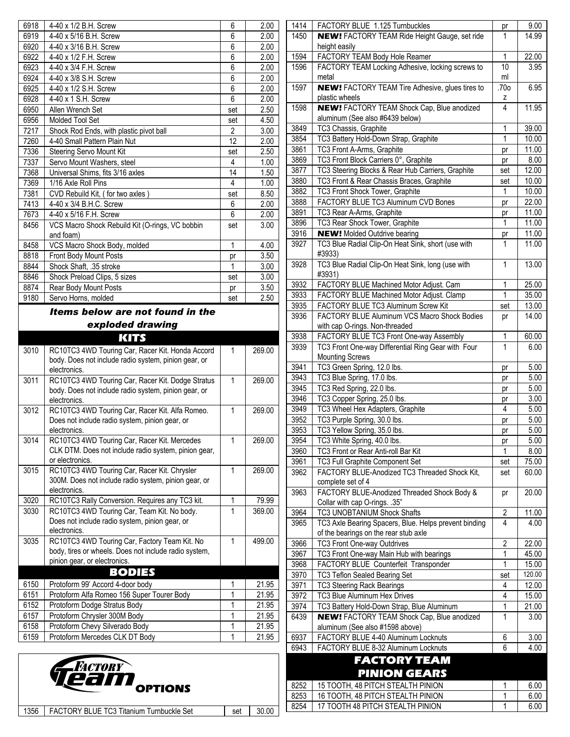| Items below are not found in the |                                                              |     |      |
|----------------------------------|--------------------------------------------------------------|-----|------|
| 9180                             | Servo Horns, molded                                          | set | 2.50 |
| 8874                             | Rear Body Mount Posts                                        | pr  | 3.50 |
| 8846                             | Shock Preload Clips, 5 sizes                                 | set | 3.00 |
| 8844                             | Shock Shaft, .35 stroke                                      | 1   | 3.00 |
| 8818                             | Front Body Mount Posts                                       | pr  | 3.50 |
| 8458                             | VCS Macro Shock Body, molded                                 | 1   | 4.00 |
| 8456                             | VCS Macro Shock Rebuild Kit (O-rings, VC bobbin<br>and foam) | set | 3.00 |
| 7673                             | 4-40 x 5/16 F.H. Screw                                       | 6   | 2.00 |
| 7413                             | 4-40 x 3/4 B.H.C. Screw                                      | 6   | 2.00 |
| 7381                             | CVD Rebuild Kit, (for two axles)                             | set | 8.50 |
| 7369                             | 1/16 Axle Roll Pins                                          | 4   | 1.00 |
| 7368                             | Universal Shims, fits 3/16 axles                             | 14  | 1.50 |
| 7337                             | Servo Mount Washers, steel                                   | 4   | 1.00 |
| 7336                             | Steering Servo Mount Kit                                     | set | 2.50 |
| 7260                             | 4-40 Small Pattern Plain Nut                                 | 12  | 2.00 |
| 7217                             | Shock Rod Ends, with plastic pivot ball                      | 2   | 3.00 |
| 6956                             | <b>Molded Tool Set</b>                                       | set | 4.50 |
| 6950                             | Allen Wrench Set                                             | set | 2.50 |
| 6928                             | 4-40 x 1 S.H. Screw                                          | 6   | 2.00 |
| 6925                             | 4-40 x 1/2 S.H. Screw                                        | 6   | 2.00 |
| 6924                             | 4-40 x 3/8 S.H. Screw                                        | 6   | 2.00 |
| 6923                             | 4-40 x 3/4 F.H. Screw                                        | 6   | 2.00 |
| 6922                             | 4-40 x 1/2 F.H. Screw                                        | 6   | 2.00 |
| 6920                             | 4-40 x 3/16 B.H. Screw                                       | 6   | 2.00 |
| 6919                             | 4-40 x 5/16 B.H. Screw                                       | 6   | 2.00 |
| 6918                             | 4-40 x 1/2 B.H. Screw                                        | 6   | 2.00 |

# *exploded drawing*

### KITS

| 3010 | RC10TC3 4WD Touring Car, Racer Kit. Honda Accord<br>body. Does not include radio system, pinion gear, or<br>electronics.               | 1           | 269.00 |
|------|----------------------------------------------------------------------------------------------------------------------------------------|-------------|--------|
| 3011 | RC10TC3 4WD Touring Car, Racer Kit. Dodge Stratus<br>body. Does not include radio system, pinion gear, or<br>electronics.              | 1           | 269.00 |
| 3012 | RC10TC3 4WD Touring Car, Racer Kit. Alfa Romeo.<br>Does not include radio system, pinion gear, or<br>electronics.                      | 1           | 269.00 |
| 3014 | RC10TC3 4WD Touring Car, Racer Kit. Mercedes<br>CLK DTM. Does not include radio system, pinion gear,<br>or electronics.                | $\mathbf 1$ | 269.00 |
| 3015 | RC10TC3 4WD Touring Car, Racer Kit. Chrysler<br>300M. Does not include radio system, pinion gear, or<br>electronics.                   | 1           | 269.00 |
| 3020 | RC10TC3 Rally Conversion. Requires any TC3 kit.                                                                                        | 1           | 79.99  |
| 3030 | RC10TC3 4WD Touring Car, Team Kit. No body.<br>Does not include radio system, pinion gear, or<br>electronics.                          | 1           | 369.00 |
| 3035 | RC10TC3 4WD Touring Car, Factory Team Kit. No<br>body, tires or wheels. Does not include radio system,<br>pinion gear, or electronics. | $\mathbf 1$ | 499.00 |
|      | BODIES                                                                                                                                 |             |        |
| 6150 | Protoform 99' Accord 4-door body                                                                                                       | 1           | 21.95  |
| 6151 | Protoform Alfa Romeo 156 Super Tourer Body                                                                                             | 1           | 21.95  |
| 6152 | Protoform Dodge Stratus Body                                                                                                           | 1           | 21.95  |
| 6157 | Protoform Chrysler 300M Body                                                                                                           | 1           | 21.95  |
| 6158 | Protoform Chevy Silverado Body                                                                                                         | 1           | 21.95  |
| 6159 | Protoform Mercedes CLK DT Body                                                                                                         | 1           | 21.95  |



| 1414 | FACTORY BLUE 1.125 Turnbuckles                         | pr           | 9.00           |
|------|--------------------------------------------------------|--------------|----------------|
| 1450 | <b>NEW!</b> FACTORY TEAM Ride Height Gauge, set ride   | 1            | 14.99          |
|      | height easily                                          |              |                |
| 1594 | FACTORY TEAM Body Hole Reamer                          | 1            | 22.00          |
| 1596 | FACTORY TEAM Locking Adhesive, locking screws to       | 10           | 3.95           |
|      | metal                                                  | ml           |                |
| 1597 | <b>NEW!</b> FACTORY TEAM Tire Adhesive, glues tires to | .70o         | 6.95           |
|      | plastic wheels                                         | z            |                |
| 1598 | <b>NEW!</b> FACTORY TEAM Shock Cap, Blue anodized      | 4            | 11.95          |
|      | aluminum (See also #6439 below)                        |              |                |
| 3849 | TC3 Chassis, Graphite                                  | 1            |                |
|      |                                                        | $\mathbf{1}$ | 39.00          |
| 3854 | TC3 Battery Hold-Down Strap, Graphite                  |              | 10.00<br>11.00 |
| 3861 | TC3 Front A-Arms, Graphite                             | рr           |                |
| 3869 | TC3 Front Block Carriers 0°, Graphite                  | pr           | 8.00           |
| 3877 | TC3 Steering Blocks & Rear Hub Carriers, Graphite      | set          | 12.00          |
| 3880 | TC3 Front & Rear Chassis Braces, Graphite              | set          | 10.00          |
| 3882 | TC3 Front Shock Tower, Graphite                        | 1            | 10.00          |
| 3888 | FACTORY BLUE TC3 Aluminum CVD Bones                    | pr           | 22.00          |
| 3891 | TC3 Rear A-Arms, Graphite                              | pr           | 11.00          |
| 3896 | TC3 Rear Shock Tower, Graphite                         | 1            | 11.00          |
| 3916 | <b>NEW!</b> Molded Outdrive bearing                    | pr           | 11.00          |
| 3927 | TC3 Blue Radial Clip-On Heat Sink, short (use with     | 1            | 11.00          |
|      | #3933)                                                 |              |                |
| 3928 | TC3 Blue Radial Clip-On Heat Sink, long (use with      | 1            | 13.00          |
|      | #3931)                                                 |              |                |
| 3932 | FACTORY BLUE Machined Motor Adjust. Cam                | 1            | 25.00          |
| 3933 | FACTORY BLUE Machined Motor Adjust. Clamp              | 1            | 35.00          |
| 3935 | FACTORY BLUE TC3 Aluminum Screw Kit                    | set          | 13.00          |
| 3936 | FACTORY BLUE Aluminum VCS Macro Shock Bodies           | pr           | 14.00          |
|      | with cap O-rings. Non-threaded                         |              |                |
| 3938 | FACTORY BLUE TC3 Front One-way Assembly                | 1            | 60.00          |
| 3939 | TC3 Front One-way Differential Ring Gear with Four     | 1            | 6.00           |
|      | <b>Mounting Screws</b>                                 |              |                |
| 3941 | TC3 Green Spring, 12.0 lbs.                            | pr           | 5.00           |
| 3943 | TC3 Blue Spring, 17.0 lbs.                             | pr           | 5.00           |
| 3945 | TC3 Red Spring, 22.0 lbs.                              | pr           | 5.00           |
| 3946 | TC3 Copper Spring, 25.0 lbs.                           | pr           | 3.00           |
| 3949 | TC3 Wheel Hex Adapters, Graphite                       | 4            | 5.00           |
| 3952 | TC3 Purple Spring, 30.0 lbs.                           | pr           | 5.00           |
| 3953 | TC3 Yellow Spring, 35.0 lbs.                           | pr           | 5.00           |
| 3954 | TC3 White Spring, 40.0 lbs.                            | pr           | 5.00           |
| 3960 | TC3 Front or Rear Anti-roll Bar Kit                    | 1            | 8.00           |
| 3961 | TC3 Full Graphite Component Set                        | set          | 75.00          |
| 3962 | FACTORY BLUE-Anodized TC3 Threaded Shock Kit,          | set          | 60.00          |
|      | complete set of 4                                      |              |                |
| 3963 | FACTORY BLUE-Anodized Threaded Shock Body &            | pr           | 20.00          |
|      | Collar with cap O-rings. .35"                          |              |                |
| 3964 | TC3 UNOBTANIUM Shock Shafts                            | 2            | 11.00          |
| 3965 | TC3 Axle Bearing Spacers, Blue. Helps prevent binding  | 4            | 4.00           |
|      | of the bearings on the rear stub axle                  |              |                |
| 3966 | TC3 Front One-way Outdrives                            | 2            | 22.00          |
| 3967 | TC3 Front One-way Main Hub with bearings               | 1            | 45.00          |
| 3968 | FACTORY BLUE Counterfeit Transponder                   | 1            | 15.00          |
| 3970 | TC3 Teflon Sealed Bearing Set                          | set          | 120.00         |
| 3971 | <b>TC3 Steering Rack Bearings</b>                      | 4            | 12.00          |
| 3972 | TC3 Blue Aluminum Hex Drives                           | 4            | 15.00          |
| 3974 | TC3 Battery Hold-Down Strap, Blue Aluminum             | 1            | 21.00          |
| 6439 | <b>NEW!</b> FACTORY TEAM Shock Cap, Blue anodized      | 1            | 3.00           |
|      | aluminum (See also #1598 above)                        |              |                |
| 6937 | FACTORY BLUE 4-40 Aluminum Locknuts                    | 6            | 3.00           |
| 6943 | FACTORY BLUE 8-32 Aluminum Locknuts                    | 6            | 4.00           |
|      | <b>FACTORY TEAM</b>                                    |              |                |
|      | <b>PINION GEARS</b>                                    |              |                |
| 8252 | 15 TOOTH, 48 PITCH STEALTH PINION                      | 1            |                |
| 8253 | 16 TOOTH, 48 PITCH STEALTH PINION                      | 1            | 6.00<br>6.00   |
| 8254 | 17 TOOTH 48 PITCH STEALTH PINION                       | 1            | 6.00           |
|      |                                                        |              |                |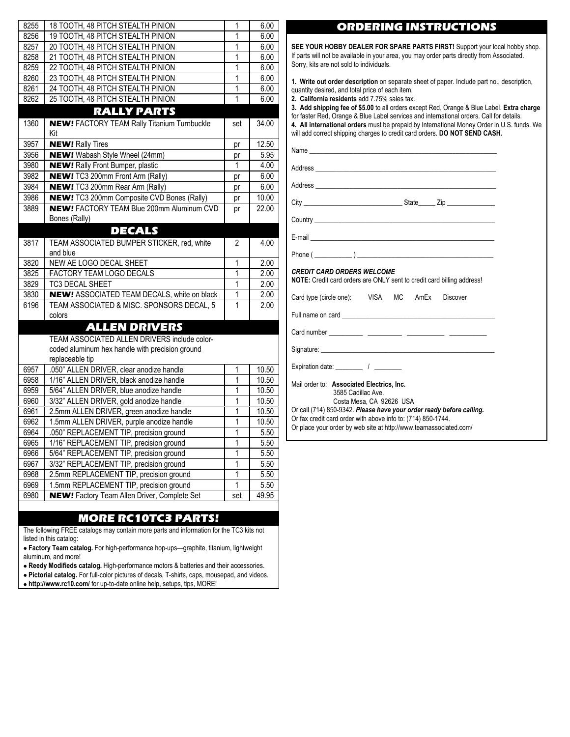| 8256 | 19 TOOTH, 48 PITCH STEALTH PINION                                 |                |       |
|------|-------------------------------------------------------------------|----------------|-------|
|      |                                                                   | 1              | 6.00  |
| 8257 | 20 TOOTH, 48 PITCH STEALTH PINION                                 | 1              | 6.00  |
| 8258 | 21 TOOTH, 48 PITCH STEALTH PINION                                 | 1              | 6.00  |
| 8259 | 22 TOOTH, 48 PITCH STEALTH PINION                                 | 1              | 6.00  |
| 8260 | 23 TOOTH, 48 PITCH STEALTH PINION                                 | 1              | 6.00  |
| 8261 | 24 TOOTH, 48 PITCH STEALTH PINION                                 | $\mathbf{1}$   | 6.00  |
| 8262 | 25 TOOTH, 48 PITCH STEALTH PINION                                 | $\overline{1}$ | 6.00  |
|      | <b>RALLY PARTS</b>                                                |                |       |
| 1360 | <b>NEW!</b> FACTORY TEAM Rally Titanium Turnbuckle<br>Kit         | set            | 34.00 |
| 3957 | <b>NEW!</b> Rally Tires                                           | pr             | 12.50 |
| 3956 | <b>NEW!</b> Wabash Style Wheel (24mm)                             | pr             | 5.95  |
| 3980 | <b>NEW!</b> Rally Front Bumper, plastic                           | 1              | 4.00  |
| 3982 | <b>NEW!</b> TC3 200mm Front Arm (Rally)                           |                | 6.00  |
| 3984 | <b>NEW!</b> TC3 200mm Rear Arm (Rally)                            | pr             | 6.00  |
| 3986 | <b>NEW!</b> TC3 200mm Composite CVD Bones (Rally)                 | pr             | 10.00 |
|      |                                                                   | pr             |       |
| 3889 | <b>NEW! FACTORY TEAM Blue 200mm Aluminum CVD</b><br>Bones (Rally) | pr             | 22.00 |
|      | <b>DECALS</b>                                                     |                |       |
| 3817 | TEAM ASSOCIATED BUMPER STICKER, red, white                        | 2              | 4.00  |
|      | and blue                                                          |                |       |
| 3820 | NEW AE LOGO DECAL SHEET                                           | 1              | 2.00  |
| 3825 | FACTORY TEAM LOGO DECALS                                          | 1              | 2.00  |
| 3829 | <b>TC3 DECAL SHEET</b>                                            | 1              | 2.00  |
| 3830 | NEW! ASSOCIATED TEAM DECALS, white on black                       | 1              | 2.00  |
| 6196 | TEAM ASSOCIATED & MISC. SPONSORS DECAL, 5                         | 1              | 2.00  |
|      | colors                                                            |                |       |
|      | <b>ALLEN DRIVERS</b>                                              |                |       |
|      | TEAM ASSOCIATED ALLEN DRIVERS include color-                      |                |       |
|      | coded aluminum hex handle with precision ground                   |                |       |
|      | replaceable tip                                                   |                |       |
| 6957 | .050" ALLEN DRIVER, clear anodize handle                          | 1              | 10.50 |
| 6958 | 1/16" ALLEN DRIVER, black anodize handle                          | 1              | 10.50 |
| 6959 | 5/64" ALLEN DRIVER, blue anodize handle                           | 1              | 10.50 |
| 6960 | 3/32" ALLEN DRIVER, gold anodize handle                           | 1              | 10.50 |
| 6961 | 2.5mm ALLEN DRIVER, green anodize handle                          | 1              | 10.50 |
| 6962 | 1.5mm ALLEN DRIVER, purple anodize handle                         | 1              | 10.50 |
| 6964 | .050" REPLACEMENT TIP, precision ground                           | 1              | 5.50  |
| 6965 | 1/16" REPLACEMENT TIP, precision ground                           | 1              | 5.50  |
| 6966 | 5/64" REPLACEMENT TIP, precision ground                           | 1              | 5.50  |
| 6967 | 3/32" REPLACEMENT TIP, precision ground                           | $\overline{1}$ | 5.50  |
| 6968 | 2.5mm REPLACEMENT TIP, precision ground                           | $\overline{1}$ | 5.50  |
| 6969 | 1.5mm REPLACEMENT TIP, precision ground                           | 1              | 5.50  |
|      | <b>NEW!</b> Factory Team Allen Driver, Complete Set               |                | 49.95 |

#### MORE RC10TC3 PARTS!

The following FREE catalogs may contain more parts and information for the TC3 kits not listed in this catalog:

• **Factory Team catalog.** For high-performance hop-ups—graphite, titanium, lightweight aluminum, and more!

- • **Reedy Modifieds catalog.** High-performance motors & batteries and their accessories.
- • **Pictorial catalog.** For full-color pictures of decals, T-shirts, caps, mousepad, and videos.
- • **http://www.rc10.com/** for up-to-date online help, setups, tips, MORE!

## ORDERING INSTRUCTIONS

**SEE YOUR HOBBY DEALER FOR SPARE PARTS FIRST!** Support your local hobby shop. If parts will not be available in your area, you may order parts directly from Associated. Sorry, kits are not sold to individuals.

**1. Write out order description** on separate sheet of paper. Include part no., description, quantity desired, and total price of each item.

**2. California residents** add 7.75% sales tax.

**3. Add shipping fee of \$5.00** to all orders except Red, Orange & Blue Label. **Extra charge**

for faster Red, Orange & Blue Label services and international orders. Call for details.

**4. All international orders** must be prepaid by International Money Order in U.S. funds. We

will add correct shipping charges to credit card orders. **DO NOT SEND CASH.**

Name\_ Address Address \_\_\_\_\_\_\_\_\_\_\_\_\_\_\_\_\_\_\_\_\_\_\_\_\_\_\_\_\_\_\_\_\_\_\_\_\_\_\_\_\_\_\_\_\_\_\_\_\_\_\_\_\_ City \_\_\_\_\_\_\_\_\_\_\_\_\_\_\_\_\_\_\_\_\_\_\_\_\_\_\_\_\_ State\_\_\_\_\_ Zip \_\_\_\_\_\_\_\_\_\_\_\_\_\_

Country \_\_\_\_\_\_\_\_\_\_\_\_\_\_\_\_\_\_\_\_\_\_\_\_\_\_\_\_\_\_\_\_\_\_\_\_\_\_\_\_\_\_\_\_\_\_\_\_\_\_\_\_\_

E-mail

Phone  $(\underline{\hspace{1cm}})$ 

#### *CREDIT CARD ORDERS WELCOME*

**NOTE:** Credit card orders are ONLY sent to credit card billing address!

Card type (circle one): VISA MC AmEx Discover

Full name on card

Card number \_\_\_\_\_\_\_\_\_\_ \_\_\_\_\_\_\_\_\_\_ \_\_\_\_\_\_\_\_\_\_\_ \_\_\_\_\_\_\_\_\_\_\_

Signature:

Expiration date:  $\frac{1}{2}$ 

Mail order to: **Associated Electrics, Inc.** 3585 Cadillac Ave.

Costa Mesa, CA 92626 USA

Or call (714) 850-9342. *Please have your order ready before calling.*

Or fax credit card order with above info to: (714) 850-1744.

Or place your order by web site at http://www.teamassociated.com/